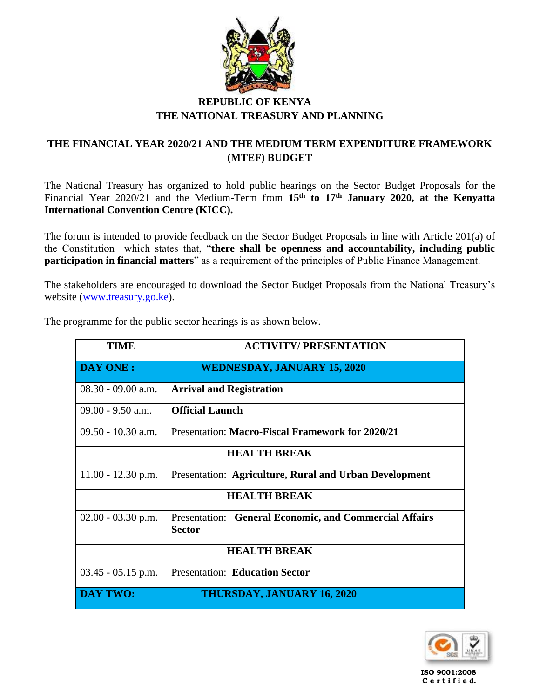

## **REPUBLIC OF KENYA THE NATIONAL TREASURY AND PLANNING**

## **THE FINANCIAL YEAR 2020/21 AND THE MEDIUM TERM EXPENDITURE FRAMEWORK (MTEF) BUDGET**

The National Treasury has organized to hold public hearings on the Sector Budget Proposals for the Financial Year 2020/21 and the Medium-Term from **15th to 17th January 2020, at the Kenyatta International Convention Centre (KICC).**

The forum is intended to provide feedback on the Sector Budget Proposals in line with Article 201(a) of the Constitution which states that, "**there shall be openness and accountability, including public participation in financial matters**" as a requirement of the principles of Public Finance Management.

The stakeholders are encouraged to download the Sector Budget Proposals from the National Treasury's website [\(www.treasury.go.ke\)](http://www.treasury.go.ke/).

| <b>TIME</b>          | <b>ACTIVITY/PRESENTATION</b>                                            |  |
|----------------------|-------------------------------------------------------------------------|--|
| DAY ONE :            | <b>WEDNESDAY, JANUARY 15, 2020</b>                                      |  |
| $08.30 - 09.00$ a.m. | <b>Arrival and Registration</b>                                         |  |
| $09.00 - 9.50$ a.m.  | <b>Official Launch</b>                                                  |  |
| $09.50 - 10.30$ a.m. | <b>Presentation: Macro-Fiscal Framework for 2020/21</b>                 |  |
| <b>HEALTH BREAK</b>  |                                                                         |  |
| $11.00 - 12.30$ p.m. | Presentation: Agriculture, Rural and Urban Development                  |  |
| <b>HEALTH BREAK</b>  |                                                                         |  |
| $02.00 - 03.30$ p.m. | Presentation: General Economic, and Commercial Affairs<br><b>Sector</b> |  |
| <b>HEALTH BREAK</b>  |                                                                         |  |
| $03.45 - 05.15$ p.m. | <b>Presentation: Education Sector</b>                                   |  |
| <b>DAY TWO:</b>      | <b>THURSDAY, JANUARY 16, 2020</b>                                       |  |

The programme for the public sector hearings is as shown below.



 **ISO 9001:2008 C e r t i f i e d.**